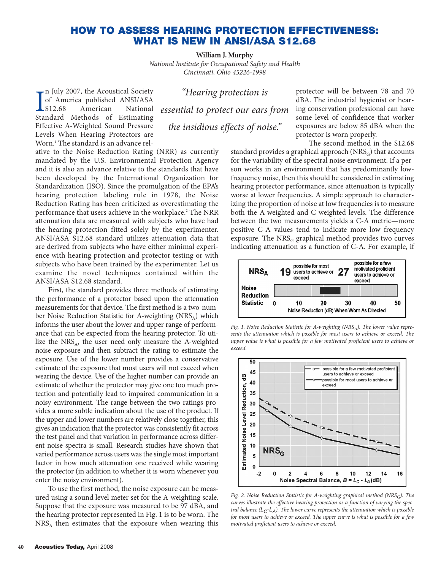## **HOW TO ASSESS HEARING PROTECTION EFFECTIVENESS: WHAT IS NEW IN ANSI/ASA S12.68**

**William J. Murphy** *National Institute for Occupational Safety and Health Cincinnati, Ohio 45226-1998*

In July 2007, the Acoustical Society<br>
of America published ANSI/ASA<br>
S12.68 American National<br>
Standard Methods of Estimating n July 2007, the Acoustical Society of America published ANSI/ASA S12.68 American National Effective A-Weighted Sound Pressure Levels When Hearing Protectors are Worn.<sup>1</sup> The standard is an advance rel-

*"Hearing protection is essential to protect our ears from the insidious effects of noise."* 

ative to the Noise Reduction Rating (NRR) as currently mandated by the U.S. Environmental Protection Agency and it is also an advance relative to the standards that have been developed by the International Organization for Standardization (ISO). Since the promulgation of the EPA's hearing protection labeling rule in 1978, the Noise Reduction Rating has been criticized as overestimating the performance that users achieve in the workplace.<sup>2</sup> The NRR attenuation data are measured with subjects who have had the hearing protection fitted solely by the experimenter. ANSI/ASA S12.68 standard utilizes attenuation data that are derived from subjects who have either minimal experience with hearing protection and protector testing or with subjects who have been trained by the experimenter. Let us examine the novel techniques contained within the ANSI/ASA S12.68 standard.

First, the standard provides three methods of estimating the performance of a protector based upon the attenuation measurements for that device. The first method is a two-number Noise Reduction Statistic for A-weighting  $(NRS_A)$  which informs the user about the lower and upper range of performance that can be expected from the hearing protector. To utilize the NRS<sub>A</sub>, the user need only measure the A-weighted noise exposure and then subtract the rating to estimate the exposure. Use of the lower number provides a conservative estimate of the exposure that most users will not exceed when wearing the device. Use of the higher number can provide an estimate of whether the protector may give one too much protection and potentially lead to impaired communication in a noisy environment. The range between the two ratings provides a more subtle indication about the use of the product. If the upper and lower numbers are relatively close together, this gives an indication that the protector was consistently fit across the test panel and that variation in performance across different noise spectra is small. Research studies have shown that varied performance across users was the single most important factor in how much attenuation one received while wearing the protector (in addition to whether it is worn whenever you enter the noisy environment).

To use the first method, the noise exposure can be measured using a sound level meter set for the A-weighting scale. Suppose that the exposure was measured to be 97 dBA, and the hearing protector represented in Fig. 1 is to be worn. The  $NRS<sub>A</sub>$  then estimates that the exposure when wearing this protector will be between 78 and 70 dBA. The industrial hygienist or hearing conservation professional can have some level of confidence that worker exposures are below 85 dBA when the protector is worn properly.

The second method in the S12.68

standard provides a graphical approach  $(NRS<sub>G</sub>)$  that accounts for the variability of the spectral noise environment. If a person works in an environment that has predominantly lowfrequency noise, then this should be considered in estimating hearing protector performance, since attenuation is typically worse at lower frequencies. A simple approach to characterizing the proportion of noise at low frequencies is to measure both the A-weighted and C-weighted levels. The difference between the two measurements yields a C-A metric—more positive C-A values tend to indicate more low frequency exposure. The  $NRS<sub>G</sub>$  graphical method provides two curves indicating attenuation as a function of C-A. For example, if



Fig. 1. Noise Reduction Statistic for A-weighting (NRS<sub>A</sub>). The lower value repre*sents the attenuation which is possible for most users to achieve or exceed. The upper value is what is possible for a few motivated proficient users to achieve or exceed.*



*Fig. 2. Noise Reduction Statistic for A-weighting graphical method (NRSG). The curves illustrate the effective hearing protection as a function of varying the spectral balance* ( $L_C$ - $L_A$ ). The lower curve represents the attenuation which is possible *for most users to achieve or exceed. The upper curve is what is possible for a few motivated proficient users to achieve or exceed.*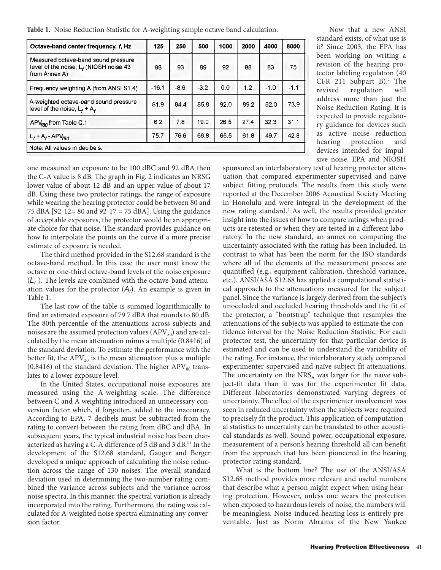**Table 1.** Noise Reduction Statistic for A-weighting sample octave band calculation.

| Octave-band center frequency, f, Hz                                                               | 125     | 250    | 500    | 1000 | 2000 | 4000   | 8000   |
|---------------------------------------------------------------------------------------------------|---------|--------|--------|------|------|--------|--------|
| Measured octave-band sound pressure<br>level of the noise, $L_f$ (NIOSH noise 43<br>from Annex A) | 98      | 93     | 89     | 92   | 88   | 83     | 75     |
| Frequency weighting A (from ANSI S1.4)                                                            | $-16.1$ | $-8.6$ | $-3.2$ | 0.0  | 1.2  | $-1.0$ | $-1.1$ |
| A-weighted octave-band sound pressure<br>level of the noise, $L_f + A_f$                          | 81.9    | 84.4   | 85.8   | 92.0 | 89.2 | 82.0   | 73.9   |
| APV <sub>r80</sub> from Table C.1                                                                 | 6.2     | 7.8    | 19.0   | 26.5 | 27.4 | 32.3   | 31.1   |
| $L_f + A_f - APV_{f80}$                                                                           | 75.7    | 76.6   | 66.8   | 65.5 | 61.8 | 49.7   | 42.8   |
| Note: All values in decibels.                                                                     |         |        |        |      |      |        |        |

Now that a new ANSI standard exists, of what use is it? Since 2003, the EPA has been working on writing a revision of the hearing protector labeling regulation (40 CFR 211 Subpart  $B$ ).<sup>2</sup> The revised regulation will address more than just the Noise Reduction Rating. It is expected to provide regulatory guidance for devices such as active noise reduction hearing protection and devices intended for impulsive noise. EPA and NIOSH

one measured an exposure to be 100 dBC and 92 dBA then the C-A value is 8 dB. The graph in Fig. 2 indicates an NRSG lower value of about 12 dB and an upper value of about 17 dB. Using these two protector ratings, the range of exposure while wearing the hearing protector could be between 80 and 75 dBA [92-12= 80 and 92-17 = 75 dBA]. Using the guidance of acceptable exposures, the protector would be an appropriate choice for that noise. The standard provides guidance on how to interpolate the points on the curve if a more precise estimate of exposure is needed.

The third method provided in the S12.68 standard is the octave-band method. In this case the user must know the octave or one-third octave-band levels of the noise exposure  $(L_f)$ . The levels are combined with the octave-band attenuation values for the protector  $(A_f)$ . An example is given in Table 1.

The last row of the table is summed logarithmically to find an estimated exposure of 79.7 dBA that rounds to 80 dB. The 80th percentile of the attenuations across subjects and noises are the assumed protection values  $(APV_{80})$  and are calculated by the mean attenuation minus a multiple (0.8416) of the standard deviation. To estimate the performance with the better fit, the  $APV_{20}$  is the mean attenuation plus a multiple (0.8416) of the standard deviation. The higher  $APV_{80}$  translates to a lower exposure level.

In the United States, occupational noise exposures are measured using the A-weighting scale. The difference between C and A weighting introduced an unnecessary conversion factor which, if forgotten, added to the inaccuracy. According to EPA, 7 decibels must be subtracted from the rating to convert between the rating from dBC and dBA. In subsequent years, the typical industrial noise has been characterized as having a C-A difference of 5 dB and 3 dB.3,4 In the development of the S12.68 standard, Gauger and Berger developed a unique approach of calculating the noise reduction across the range of 130 noises. The overall standard deviation used in determining the two-number rating combined the variance across subjects and the variance across noise spectra. In this manner, the spectral variation is already incorporated into the rating. Furthermore, the rating was calculated for A-weighted noise spectra eliminating any conversion factor.

sponsored an interlaboratory test of hearing protector attenuation that compared experimenter-supervised and naïve subject fitting protocols. The results from this study were reported at the December 2006 Acoustical Society Meeting in Honolulu and were integral in the development of the new rating standard.<sup>5</sup> As well, the results provided greater insight into the issues of how to compare ratings when products are retested or when they are tested in a different laboratory. In the new standard, an annex on computing the uncertainty associated with the rating has been included. In contrast to what has been the norm for the ISO standards where all of the elements of the measurement process are quantified (e.g., equipment calibration, threshold variance, etc.), ANSI/ASA S12.68 has applied a computational statistical approach to the attenuations measured for the subject panel. Since the variance is largely derived from the subject's unoccluded and occluded hearing thresholds and the fit of the protector, a "bootstrap" technique that resamples the attenuations of the subjects was applied to estimate the confidence interval for the Noise Reduction Statistic. For each protector test, the uncertainty for that particular device is estimated and can be used to understand the variability of the rating. For instance, the interlaboratory study compared experimenter-supervised and naïve subject fit attenuations. The uncertainty on the  $NRS_A$  was larger for the naïve subject-fit data than it was for the experimenter fit data. Different laboratories demonstrated varying degrees of uncertainty. The effect of the experimenter involvement was seen in reduced uncertainty when the subjects were required to precisely fit the product. This application of computational statistics to uncertainty can be translated to other acoustical standards as well. Sound power, occupational exposure, measurement of a person's hearing threshold all can benefit from the approach that has been pioneered in the hearing protector rating standard.

What is the bottom line? The use of the ANSI/ASA S12.68 method provides more relevant and useful numbers that describe what a person might expect when using hearing protection. However, unless one wears the protection when exposed to hazardous levels of noise, the numbers will be meaningless. Noise-induced hearing loss is entirely preventable. Just as Norm Abrams of the New Yankee